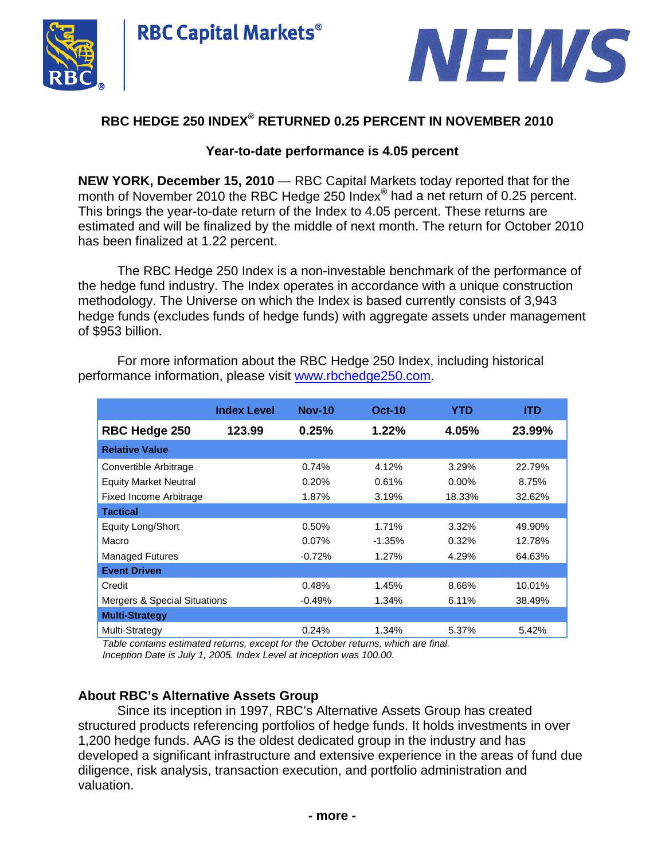



# **RBC HEDGE 250 INDEX® RETURNED 0.25 PERCENT IN NOVEMBER 2010**

## **Year-to-date performance is 4.05 percent**

**NEW YORK, December 15, 2010** — RBC Capital Markets today reported that for the month of November 2010 the RBC Hedge 250 Index**®** had a net return of 0.25 percent. This brings the year-to-date return of the Index to 4.05 percent. These returns are estimated and will be finalized by the middle of next month. The return for October 2010 has been finalized at 1.22 percent.

The RBC Hedge 250 Index is a non-investable benchmark of the performance of the hedge fund industry. The Index operates in accordance with a unique construction methodology. The Universe on which the Index is based currently consists of 3,943 hedge funds (excludes funds of hedge funds) with aggregate assets under management of \$953 billion.

|                               | <b>Index Level</b> | <b>Nov-10</b> | <b>Oct-10</b> | YTD      | ITD    |
|-------------------------------|--------------------|---------------|---------------|----------|--------|
| <b>RBC Hedge 250</b>          | 123.99             | 0.25%         | $1.22\%$      | 4.05%    | 23.99% |
| <b>Relative Value</b>         |                    |               |               |          |        |
| Convertible Arbitrage         |                    | 0.74%         | 4.12%         | 3.29%    | 22.79% |
| <b>Equity Market Neutral</b>  |                    | 0.20%         | 0.61%         | $0.00\%$ | 8.75%  |
| <b>Fixed Income Arbitrage</b> |                    | 1.87%         | 3.19%         | 18.33%   | 32.62% |
| <b>Tactical</b>               |                    |               |               |          |        |
| <b>Equity Long/Short</b>      |                    | 0.50%         | 1.71%         | 3.32%    | 49.90% |
| Macro                         |                    | $0.07\%$      | $-1.35\%$     | 0.32%    | 12.78% |
| <b>Managed Futures</b>        |                    | $-0.72%$      | 1.27%         | 4.29%    | 64.63% |
| <b>Event Driven</b>           |                    |               |               |          |        |
| Credit                        |                    | 0.48%         | 1.45%         | 8.66%    | 10.01% |
| Mergers & Special Situations  |                    | $-0.49%$      | 1.34%         | 6.11%    | 38.49% |
| <b>Multi-Strategy</b>         |                    |               |               |          |        |
| Multi-Strategy                |                    | 0.24%         | 1.34%         | 5.37%    | 5.42%  |

For more information about the RBC Hedge 250 Index, including historical performance information, please visit www.rbchedge250.com.

*Table contains estimated returns, except for the October returns, which are final. Inception Date is July 1, 2005. Index Level at inception was 100.00.* 

## **About RBC's Alternative Assets Group**

Since its inception in 1997, RBC's Alternative Assets Group has created structured products referencing portfolios of hedge funds. It holds investments in over 1,200 hedge funds. AAG is the oldest dedicated group in the industry and has developed a significant infrastructure and extensive experience in the areas of fund due diligence, risk analysis, transaction execution, and portfolio administration and valuation.